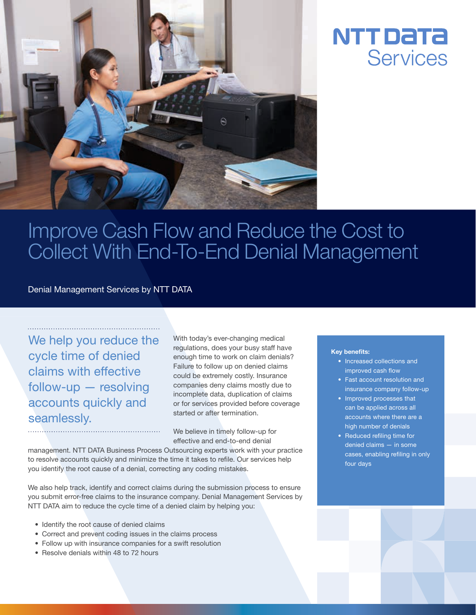



## Improve Cash Flow and Reduce the Cost to Collect With End-To-End Denial Management

Denial Management Services by NTT DATA

We help you reduce the cycle time of denied claims with effective follow-up — resolving accounts quickly and seamlessly.

With today's ever-changing medical regulations, does your busy staff have enough time to work on claim denials? Failure to follow up on denied claims could be extremely costly. Insurance companies deny claims mostly due to incomplete data, duplication of claims or for services provided before coverage started or after termination.

We believe in timely follow-up for effective and end-to-end denial

management. NTT DATA Business Process Outsourcing experts work with your practice to resolve accounts quickly and minimize the time it takes to refile. Our services help you identify the root cause of a denial, correcting any coding mistakes.

We also help track, identify and correct claims during the submission process to ensure you submit error-free claims to the insurance company. Denial Management Services by NTT DATA aim to reduce the cycle time of a denied claim by helping you:

- Identify the root cause of denied claims
- Correct and prevent coding issues in the claims process
- Follow up with insurance companies for a swift resolution
- Resolve denials within 48 to 72 hours

## Key benefits:

- Increased collections and improved cash flow
- Fast account resolution and insurance company follow-up
- Improved processes that can be applied across all accounts where there are a high number of denials
- Reduced refiling time for denied claims — in some cases, enabling refiling in only four days